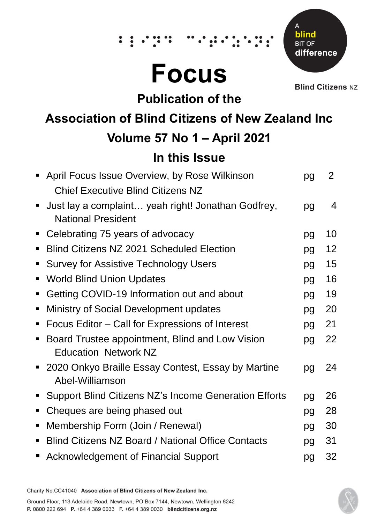# **Focus**

 $\ddot{\bullet}$ 



**Blind Citizens NZ** 

## **Publication of the**

# **Association of Blind Citizens of New Zealand Inc**

# **Volume 57 No 1 – April 2021**

# **In this Issue**

|                | • April Focus Issue Overview, by Rose Wilkinson           | pg | 2              |
|----------------|-----------------------------------------------------------|----|----------------|
|                | <b>Chief Executive Blind Citizens NZ</b>                  |    |                |
| $\blacksquare$ | Just lay a complaint yeah right! Jonathan Godfrey,        | pg | $\overline{4}$ |
|                | <b>National President</b>                                 |    |                |
|                | Celebrating 75 years of advocacy                          | pg | 10             |
| п              | <b>Blind Citizens NZ 2021 Scheduled Election</b>          | pg | 12             |
| п              | <b>Survey for Assistive Technology Users</b>              | pg | 15             |
| ٠              | <b>World Blind Union Updates</b>                          | pg | 16             |
| п              | Getting COVID-19 Information out and about                | pg | 19             |
| п              | Ministry of Social Development updates                    | pg | 20             |
| п              | Focus Editor - Call for Expressions of Interest           | pg | 21             |
| п              | Board Trustee appointment, Blind and Low Vision           | pg | 22             |
|                | <b>Education Network NZ</b>                               |    |                |
|                | 2020 Onkyo Braille Essay Contest, Essay by Martine        | pg | 24             |
|                | Abel-Williamson                                           |    |                |
| п              | Support Blind Citizens NZ's Income Generation Efforts     | pg | 26             |
| ш              | Cheques are being phased out                              | pg | 28             |
| ٠              | Membership Form (Join / Renewal)                          | pg | 30             |
| п              | <b>Blind Citizens NZ Board / National Office Contacts</b> | pg | 31             |
| п              | <b>Acknowledgement of Financial Support</b>               | pg | 32             |
|                |                                                           |    |                |

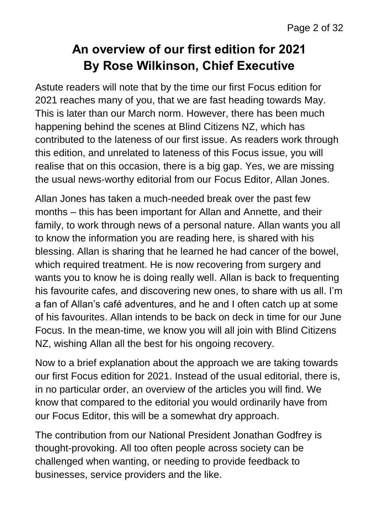# **An overview of our first edition for 2021 By Rose Wilkinson, Chief Executive**

Astute readers will note that by the time our first Focus edition for 2021 reaches many of you, that we are fast heading towards May. This is later than our March norm. However, there has been much happening behind the scenes at Blind Citizens NZ, which has contributed to the lateness of our first issue. As readers work through this edition, and unrelated to lateness of this Focus issue, you will realise that on this occasion, there is a big gap. Yes, we are missing the usual news-worthy editorial from our Focus Editor, Allan Jones.

Allan Jones has taken a much-needed break over the past few months – this has been important for Allan and Annette, and their family, to work through news of a personal nature. Allan wants you all to know the information you are reading here, is shared with his blessing. Allan is sharing that he learned he had cancer of the bowel, which required treatment. He is now recovering from surgery and wants you to know he is doing really well. Allan is back to frequenting his favourite cafes, and discovering new ones, to share with us all. I'm a fan of Allan's café adventures, and he and I often catch up at some of his favourites. Allan intends to be back on deck in time for our June Focus. In the mean-time, we know you will all join with Blind Citizens NZ, wishing Allan all the best for his ongoing recovery.

Now to a brief explanation about the approach we are taking towards our first Focus edition for 2021. Instead of the usual editorial, there is, in no particular order, an overview of the articles you will find. We know that compared to the editorial you would ordinarily have from our Focus Editor, this will be a somewhat dry approach.

The contribution from our National President Jonathan Godfrey is thought-provoking. All too often people across society can be challenged when wanting, or needing to provide feedback to businesses, service providers and the like.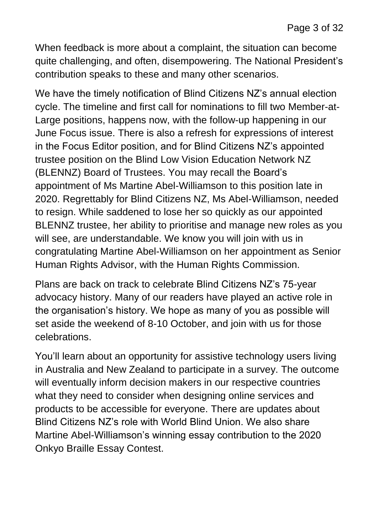When feedback is more about a complaint, the situation can become quite challenging, and often, disempowering. The National President's contribution speaks to these and many other scenarios.

We have the timely notification of Blind Citizens NZ's annual election cycle. The timeline and first call for nominations to fill two Member-at-Large positions, happens now, with the follow-up happening in our June Focus issue. There is also a refresh for expressions of interest in the Focus Editor position, and for Blind Citizens NZ's appointed trustee position on the Blind Low Vision Education Network NZ (BLENNZ) Board of Trustees. You may recall the Board's appointment of Ms Martine Abel-Williamson to this position late in 2020. Regrettably for Blind Citizens NZ, Ms Abel-Williamson, needed to resign. While saddened to lose her so quickly as our appointed BLENNZ trustee, her ability to prioritise and manage new roles as you will see, are understandable. We know you will join with us in congratulating Martine Abel-Williamson on her appointment as Senior Human Rights Advisor, with the Human Rights Commission.

Plans are back on track to celebrate Blind Citizens NZ's 75-year advocacy history. Many of our readers have played an active role in the organisation's history. We hope as many of you as possible will set aside the weekend of 8-10 October, and join with us for those celebrations.

You'll learn about an opportunity for assistive technology users living in Australia and New Zealand to participate in a survey. The outcome will eventually inform decision makers in our respective countries what they need to consider when designing online services and products to be accessible for everyone. There are updates about Blind Citizens NZ's role with World Blind Union. We also share Martine Abel-Williamson's winning essay contribution to the 2020 Onkyo Braille Essay Contest.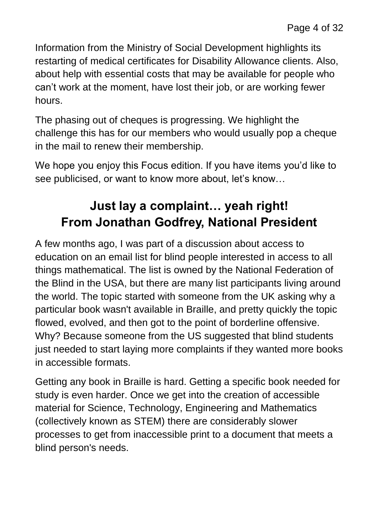Information from the Ministry of Social Development highlights its restarting of medical certificates for Disability Allowance clients. Also, about help with essential costs that may be available for people who can't work at the moment, have lost their job, or are working fewer hours.

The phasing out of cheques is progressing. We highlight the challenge this has for our members who would usually pop a cheque in the mail to renew their membership.

We hope you enjoy this Focus edition. If you have items you'd like to see publicised, or want to know more about, let's know…

# **Just lay a complaint… yeah right! From Jonathan Godfrey, National President**

A few months ago, I was part of a discussion about access to education on an email list for blind people interested in access to all things mathematical. The list is owned by the National Federation of the Blind in the USA, but there are many list participants living around the world. The topic started with someone from the UK asking why a particular book wasn't available in Braille, and pretty quickly the topic flowed, evolved, and then got to the point of borderline offensive. Why? Because someone from the US suggested that blind students just needed to start laying more complaints if they wanted more books in accessible formats.

Getting any book in Braille is hard. Getting a specific book needed for study is even harder. Once we get into the creation of accessible material for Science, Technology, Engineering and Mathematics (collectively known as STEM) there are considerably slower processes to get from inaccessible print to a document that meets a blind person's needs.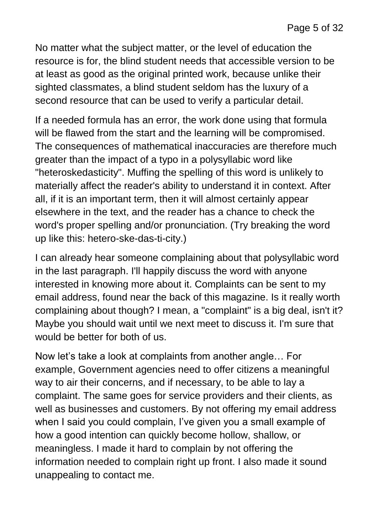No matter what the subject matter, or the level of education the resource is for, the blind student needs that accessible version to be at least as good as the original printed work, because unlike their sighted classmates, a blind student seldom has the luxury of a second resource that can be used to verify a particular detail.

If a needed formula has an error, the work done using that formula will be flawed from the start and the learning will be compromised. The consequences of mathematical inaccuracies are therefore much greater than the impact of a typo in a polysyllabic word like "heteroskedasticity". Muffing the spelling of this word is unlikely to materially affect the reader's ability to understand it in context. After all, if it is an important term, then it will almost certainly appear elsewhere in the text, and the reader has a chance to check the word's proper spelling and/or pronunciation. (Try breaking the word up like this: hetero-ske-das-ti-city.)

I can already hear someone complaining about that polysyllabic word in the last paragraph. I'll happily discuss the word with anyone interested in knowing more about it. Complaints can be sent to my email address, found near the back of this magazine. Is it really worth complaining about though? I mean, a "complaint" is a big deal, isn't it? Maybe you should wait until we next meet to discuss it. I'm sure that would be better for both of us.

Now let's take a look at complaints from another angle… For example, Government agencies need to offer citizens a meaningful way to air their concerns, and if necessary, to be able to lay a complaint. The same goes for service providers and their clients, as well as businesses and customers. By not offering my email address when I said you could complain, I've given you a small example of how a good intention can quickly become hollow, shallow, or meaningless. I made it hard to complain by not offering the information needed to complain right up front. I also made it sound unappealing to contact me.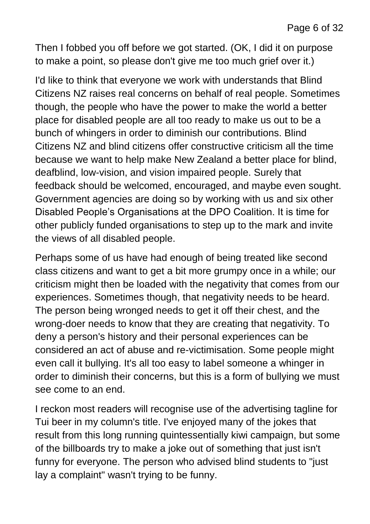Then I fobbed you off before we got started. (OK, I did it on purpose to make a point, so please don't give me too much grief over it.)

I'd like to think that everyone we work with understands that Blind Citizens NZ raises real concerns on behalf of real people. Sometimes though, the people who have the power to make the world a better place for disabled people are all too ready to make us out to be a bunch of whingers in order to diminish our contributions. Blind Citizens NZ and blind citizens offer constructive criticism all the time because we want to help make New Zealand a better place for blind, deafblind, low-vision, and vision impaired people. Surely that feedback should be welcomed, encouraged, and maybe even sought. Government agencies are doing so by working with us and six other Disabled People's Organisations at the DPO Coalition. It is time for other publicly funded organisations to step up to the mark and invite the views of all disabled people.

Perhaps some of us have had enough of being treated like second class citizens and want to get a bit more grumpy once in a while; our criticism might then be loaded with the negativity that comes from our experiences. Sometimes though, that negativity needs to be heard. The person being wronged needs to get it off their chest, and the wrong-doer needs to know that they are creating that negativity. To deny a person's history and their personal experiences can be considered an act of abuse and re-victimisation. Some people might even call it bullying. It's all too easy to label someone a whinger in order to diminish their concerns, but this is a form of bullying we must see come to an end.

I reckon most readers will recognise use of the advertising tagline for Tui beer in my column's title. I've enjoyed many of the jokes that result from this long running quintessentially kiwi campaign, but some of the billboards try to make a joke out of something that just isn't funny for everyone. The person who advised blind students to "just lay a complaint" wasn't trying to be funny.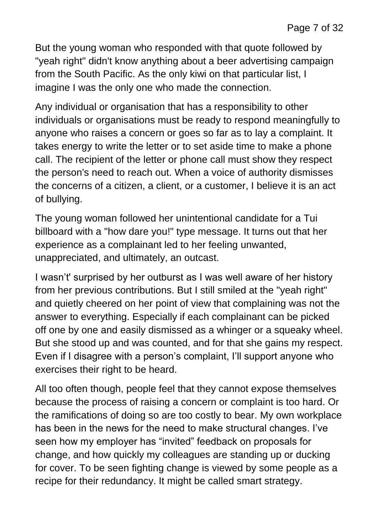But the young woman who responded with that quote followed by "yeah right" didn't know anything about a beer advertising campaign from the South Pacific. As the only kiwi on that particular list, I imagine I was the only one who made the connection.

Any individual or organisation that has a responsibility to other individuals or organisations must be ready to respond meaningfully to anyone who raises a concern or goes so far as to lay a complaint. It takes energy to write the letter or to set aside time to make a phone call. The recipient of the letter or phone call must show they respect the person's need to reach out. When a voice of authority dismisses the concerns of a citizen, a client, or a customer, I believe it is an act of bullying.

The young woman followed her unintentional candidate for a Tui billboard with a "how dare you!" type message. It turns out that her experience as a complainant led to her feeling unwanted, unappreciated, and ultimately, an outcast.

I wasn't' surprised by her outburst as I was well aware of her history from her previous contributions. But I still smiled at the "yeah right" and quietly cheered on her point of view that complaining was not the answer to everything. Especially if each complainant can be picked off one by one and easily dismissed as a whinger or a squeaky wheel. But she stood up and was counted, and for that she gains my respect. Even if I disagree with a person's complaint, I'll support anyone who exercises their right to be heard.

All too often though, people feel that they cannot expose themselves because the process of raising a concern or complaint is too hard. Or the ramifications of doing so are too costly to bear. My own workplace has been in the news for the need to make structural changes. I've seen how my employer has "invited" feedback on proposals for change, and how quickly my colleagues are standing up or ducking for cover. To be seen fighting change is viewed by some people as a recipe for their redundancy. It might be called smart strategy.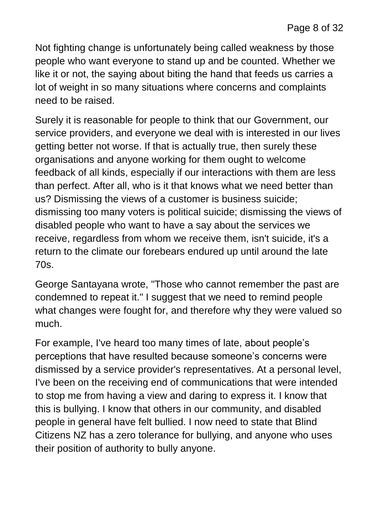Not fighting change is unfortunately being called weakness by those people who want everyone to stand up and be counted. Whether we like it or not, the saying about biting the hand that feeds us carries a lot of weight in so many situations where concerns and complaints need to be raised.

Surely it is reasonable for people to think that our Government, our service providers, and everyone we deal with is interested in our lives getting better not worse. If that is actually true, then surely these organisations and anyone working for them ought to welcome feedback of all kinds, especially if our interactions with them are less than perfect. After all, who is it that knows what we need better than us? Dismissing the views of a customer is business suicide; dismissing too many voters is political suicide; dismissing the views of disabled people who want to have a say about the services we receive, regardless from whom we receive them, isn't suicide, it's a return to the climate our forebears endured up until around the late 70s.

George Santayana wrote, "Those who cannot remember the past are condemned to repeat it." I suggest that we need to remind people what changes were fought for, and therefore why they were valued so much.

For example, I've heard too many times of late, about people's perceptions that have resulted because someone's concerns were dismissed by a service provider's representatives. At a personal level, I've been on the receiving end of communications that were intended to stop me from having a view and daring to express it. I know that this is bullying. I know that others in our community, and disabled people in general have felt bullied. I now need to state that Blind Citizens NZ has a zero tolerance for bullying, and anyone who uses their position of authority to bully anyone.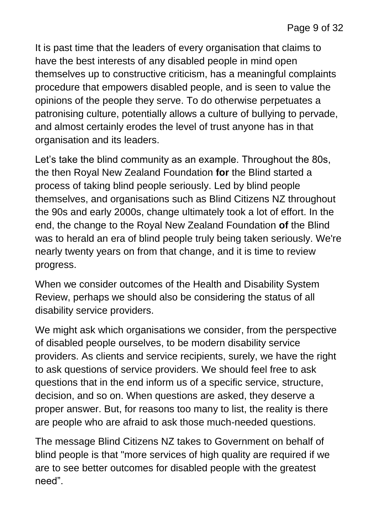It is past time that the leaders of every organisation that claims to have the best interests of any disabled people in mind open themselves up to constructive criticism, has a meaningful complaints procedure that empowers disabled people, and is seen to value the opinions of the people they serve. To do otherwise perpetuates a patronising culture, potentially allows a culture of bullying to pervade, and almost certainly erodes the level of trust anyone has in that organisation and its leaders.

Let's take the blind community as an example. Throughout the 80s, the then Royal New Zealand Foundation **for** the Blind started a process of taking blind people seriously. Led by blind people themselves, and organisations such as Blind Citizens NZ throughout the 90s and early 2000s, change ultimately took a lot of effort. In the end, the change to the Royal New Zealand Foundation **of** the Blind was to herald an era of blind people truly being taken seriously. We're nearly twenty years on from that change, and it is time to review progress.

When we consider outcomes of the Health and Disability System Review, perhaps we should also be considering the status of all disability service providers.

We might ask which organisations we consider, from the perspective of disabled people ourselves, to be modern disability service providers. As clients and service recipients, surely, we have the right to ask questions of service providers. We should feel free to ask questions that in the end inform us of a specific service, structure, decision, and so on. When questions are asked, they deserve a proper answer. But, for reasons too many to list, the reality is there are people who are afraid to ask those much-needed questions.

The message Blind Citizens NZ takes to Government on behalf of blind people is that "more services of high quality are required if we are to see better outcomes for disabled people with the greatest need".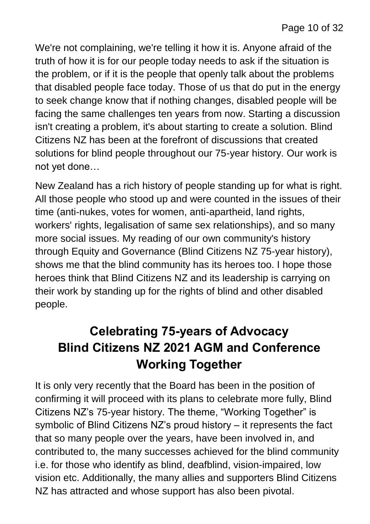We're not complaining, we're telling it how it is. Anyone afraid of the truth of how it is for our people today needs to ask if the situation is the problem, or if it is the people that openly talk about the problems that disabled people face today. Those of us that do put in the energy to seek change know that if nothing changes, disabled people will be facing the same challenges ten years from now. Starting a discussion isn't creating a problem, it's about starting to create a solution. Blind Citizens NZ has been at the forefront of discussions that created solutions for blind people throughout our 75-year history. Our work is not yet done…

New Zealand has a rich history of people standing up for what is right. All those people who stood up and were counted in the issues of their time (anti-nukes, votes for women, anti-apartheid, land rights, workers' rights, legalisation of same sex relationships), and so many more social issues. My reading of our own community's history through Equity and Governance (Blind Citizens NZ 75-year history), shows me that the blind community has its heroes too. I hope those heroes think that Blind Citizens NZ and its leadership is carrying on their work by standing up for the rights of blind and other disabled people.

# **Celebrating 75-years of Advocacy Blind Citizens NZ 2021 AGM and Conference Working Together**

It is only very recently that the Board has been in the position of confirming it will proceed with its plans to celebrate more fully, Blind Citizens NZ's 75-year history. The theme, "Working Together" is symbolic of Blind Citizens NZ's proud history – it represents the fact that so many people over the years, have been involved in, and contributed to, the many successes achieved for the blind community i.e. for those who identify as blind, deafblind, vision-impaired, low vision etc. Additionally, the many allies and supporters Blind Citizens NZ has attracted and whose support has also been pivotal.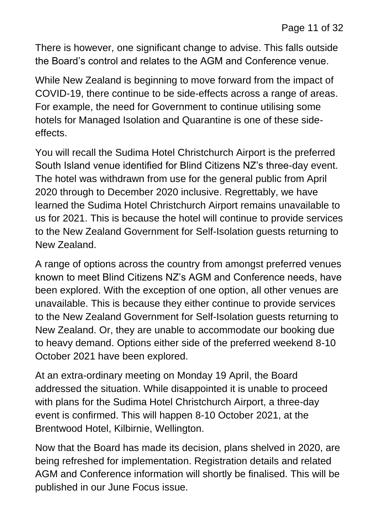There is however, one significant change to advise. This falls outside the Board's control and relates to the AGM and Conference venue.

While New Zealand is beginning to move forward from the impact of COVID-19, there continue to be side-effects across a range of areas. For example, the need for Government to continue utilising some hotels for Managed Isolation and Quarantine is one of these sideeffects.

You will recall the Sudima Hotel Christchurch Airport is the preferred South Island venue identified for Blind Citizens NZ's three-day event. The hotel was withdrawn from use for the general public from April 2020 through to December 2020 inclusive. Regrettably, we have learned the Sudima Hotel Christchurch Airport remains unavailable to us for 2021. This is because the hotel will continue to provide services to the New Zealand Government for Self-Isolation guests returning to New Zealand.

A range of options across the country from amongst preferred venues known to meet Blind Citizens NZ's AGM and Conference needs, have been explored. With the exception of one option, all other venues are unavailable. This is because they either continue to provide services to the New Zealand Government for Self-Isolation guests returning to New Zealand. Or, they are unable to accommodate our booking due to heavy demand. Options either side of the preferred weekend 8-10 October 2021 have been explored.

At an extra-ordinary meeting on Monday 19 April, the Board addressed the situation. While disappointed it is unable to proceed with plans for the Sudima Hotel Christchurch Airport, a three-day event is confirmed. This will happen 8-10 October 2021, at the Brentwood Hotel, Kilbirnie, Wellington.

Now that the Board has made its decision, plans shelved in 2020, are being refreshed for implementation. Registration details and related AGM and Conference information will shortly be finalised. This will be published in our June Focus issue.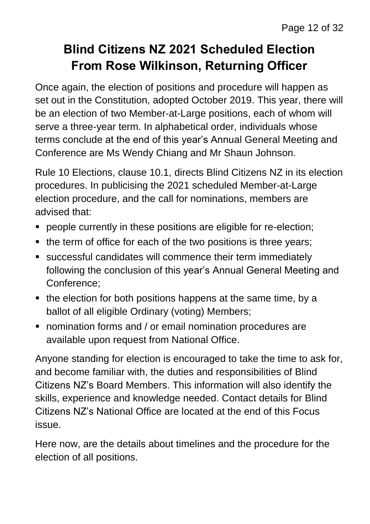# **Blind Citizens NZ 2021 Scheduled Election From Rose Wilkinson, Returning Officer**

Once again, the election of positions and procedure will happen as set out in the Constitution, adopted October 2019. This year, there will be an election of two Member-at-Large positions, each of whom will serve a three-year term. In alphabetical order, individuals whose terms conclude at the end of this year's Annual General Meeting and Conference are Ms Wendy Chiang and Mr Shaun Johnson.

Rule 10 Elections, clause 10.1, directs Blind Citizens NZ in its election procedures. In publicising the 2021 scheduled Member-at-Large election procedure, and the call for nominations, members are advised that:

- people currently in these positions are eligible for re-election;
- the term of office for each of the two positions is three years;
- successful candidates will commence their term immediately following the conclusion of this year's Annual General Meeting and Conference;
- the election for both positions happens at the same time, by a ballot of all eligible Ordinary (voting) Members;
- nomination forms and / or email nomination procedures are available upon request from National Office.

Anyone standing for election is encouraged to take the time to ask for, and become familiar with, the duties and responsibilities of Blind Citizens NZ's Board Members. This information will also identify the skills, experience and knowledge needed. Contact details for Blind Citizens NZ's National Office are located at the end of this Focus issue.

Here now, are the details about timelines and the procedure for the election of all positions.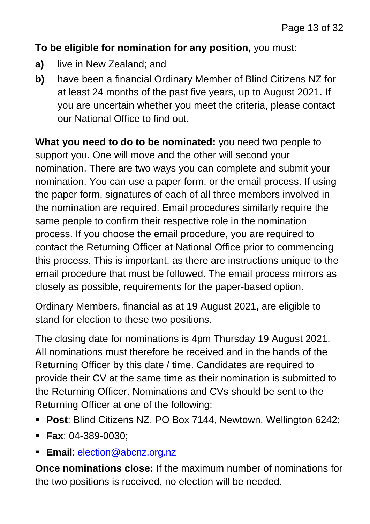#### **To be eligible for nomination for any position,** you must:

- **a)** live in New Zealand; and
- **b)** have been a financial Ordinary Member of Blind Citizens NZ for at least 24 months of the past five years, up to August 2021. If you are uncertain whether you meet the criteria, please contact our National Office to find out.

**What you need to do to be nominated:** you need two people to support you. One will move and the other will second your nomination. There are two ways you can complete and submit your nomination. You can use a paper form, or the email process. If using the paper form, signatures of each of all three members involved in the nomination are required. Email procedures similarly require the same people to confirm their respective role in the nomination process. If you choose the email procedure, you are required to contact the Returning Officer at National Office prior to commencing this process. This is important, as there are instructions unique to the email procedure that must be followed. The email process mirrors as closely as possible, requirements for the paper-based option.

Ordinary Members, financial as at 19 August 2021, are eligible to stand for election to these two positions.

The closing date for nominations is 4pm Thursday 19 August 2021. All nominations must therefore be received and in the hands of the Returning Officer by this date / time. Candidates are required to provide their CV at the same time as their nomination is submitted to the Returning Officer. Nominations and CVs should be sent to the Returning Officer at one of the following:

- **Post**: Blind Citizens NZ, PO Box 7144, Newtown, Wellington 6242;
- **Fax**: 04-389-0030;
- **Email**: [election@abcnz.org.nz](mailto:election@abcnz.org.nz)

**Once nominations close:** If the maximum number of nominations for the two positions is received, no election will be needed.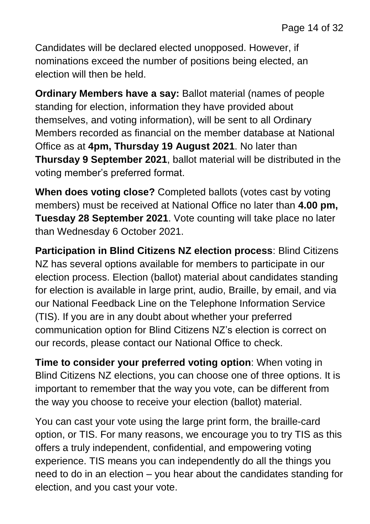Candidates will be declared elected unopposed. However, if nominations exceed the number of positions being elected, an election will then be held.

**Ordinary Members have a say:** Ballot material (names of people standing for election, information they have provided about themselves, and voting information), will be sent to all Ordinary Members recorded as financial on the member database at National Office as at **4pm, Thursday 19 August 2021**. No later than **Thursday 9 September 2021**, ballot material will be distributed in the voting member's preferred format.

**When does voting close?** Completed ballots (votes cast by voting members) must be received at National Office no later than **4.00 pm, Tuesday 28 September 2021**. Vote counting will take place no later than Wednesday 6 October 2021.

**Participation in Blind Citizens NZ election process**: Blind Citizens NZ has several options available for members to participate in our election process. Election (ballot) material about candidates standing for election is available in large print, audio, Braille, by email, and via our National Feedback Line on the Telephone Information Service (TIS). If you are in any doubt about whether your preferred communication option for Blind Citizens NZ's election is correct on our records, please contact our National Office to check.

**Time to consider your preferred voting option**: When voting in Blind Citizens NZ elections, you can choose one of three options. It is important to remember that the way you vote, can be different from the way you choose to receive your election (ballot) material.

You can cast your vote using the large print form, the braille-card option, or TIS. For many reasons, we encourage you to try TIS as this offers a truly independent, confidential, and empowering voting experience. TIS means you can independently do all the things you need to do in an election – you hear about the candidates standing for election, and you cast your vote.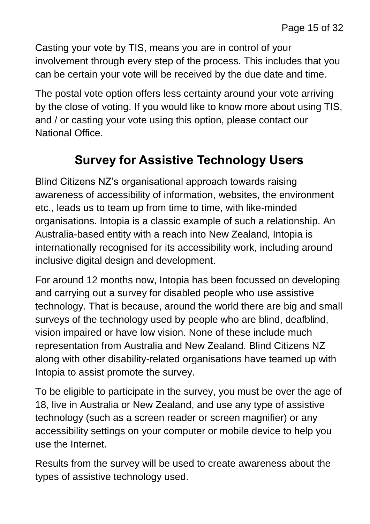Casting your vote by TIS, means you are in control of your involvement through every step of the process. This includes that you can be certain your vote will be received by the due date and time.

The postal vote option offers less certainty around your vote arriving by the close of voting. If you would like to know more about using TIS, and / or casting your vote using this option, please contact our National Office.

# **Survey for Assistive Technology Users**

Blind Citizens NZ's organisational approach towards raising awareness of accessibility of information, websites, the environment etc., leads us to team up from time to time, with like-minded organisations. Intopia is a classic example of such a relationship. An Australia-based entity with a reach into New Zealand, Intopia is internationally recognised for its accessibility work, including around inclusive digital design and development.

For around 12 months now, Intopia has been focussed on developing and carrying out a survey for disabled people who use assistive technology. That is because, around the world there are big and small surveys of the technology used by people who are blind, deafblind, vision impaired or have low vision. None of these include much representation from Australia and New Zealand. Blind Citizens NZ along with other disability-related organisations have teamed up with Intopia to assist promote the survey.

To be eligible to participate in the survey, you must be over the age of 18, live in Australia or New Zealand, and use any type of assistive technology (such as a screen reader or screen magnifier) or any accessibility settings on your computer or mobile device to help you use the Internet.

Results from the survey will be used to create awareness about the types of assistive technology used.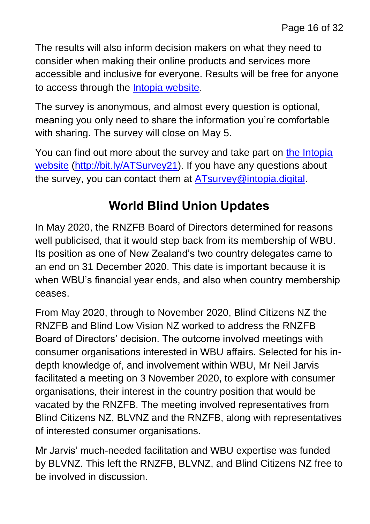The results will also inform decision makers on what they need to consider when making their online products and services more accessible and inclusive for everyone. Results will be free for anyone to access through the **Intopia website**.

The survey is anonymous, and almost every question is optional, meaning you only need to share the information you're comfortable with sharing. The survey will close on May 5.

You can find out more about the survey and take part on the Intopia [website](http://bit.ly/ATSurvey21) [\(http://bit.ly/ATSurvey21\)](http://bit.ly/ATSurvey21). If you have any questions about the survey, you can contact them at [ATsurvey@intopia.digital.](mailto:ATsurvey@intopia.digital)

# **World Blind Union Updates**

In May 2020, the RNZFB Board of Directors determined for reasons well publicised, that it would step back from its membership of WBU. Its position as one of New Zealand's two country delegates came to an end on 31 December 2020. This date is important because it is when WBU's financial year ends, and also when country membership ceases.

From May 2020, through to November 2020, Blind Citizens NZ the RNZFB and Blind Low Vision NZ worked to address the RNZFB Board of Directors' decision. The outcome involved meetings with consumer organisations interested in WBU affairs. Selected for his indepth knowledge of, and involvement within WBU, Mr Neil Jarvis facilitated a meeting on 3 November 2020, to explore with consumer organisations, their interest in the country position that would be vacated by the RNZFB. The meeting involved representatives from Blind Citizens NZ, BLVNZ and the RNZFB, along with representatives of interested consumer organisations.

Mr Jarvis' much-needed facilitation and WBU expertise was funded by BLVNZ. This left the RNZFB, BLVNZ, and Blind Citizens NZ free to be involved in discussion.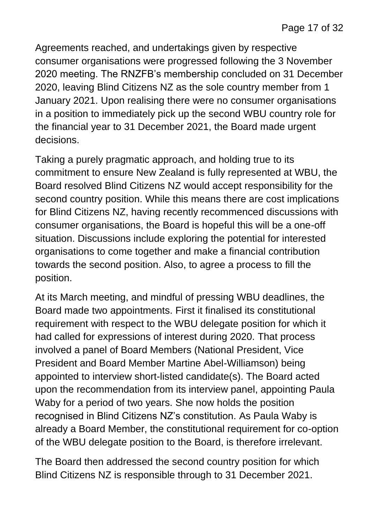Agreements reached, and undertakings given by respective consumer organisations were progressed following the 3 November 2020 meeting. The RNZFB's membership concluded on 31 December 2020, leaving Blind Citizens NZ as the sole country member from 1 January 2021. Upon realising there were no consumer organisations in a position to immediately pick up the second WBU country role for the financial year to 31 December 2021, the Board made urgent decisions.

Taking a purely pragmatic approach, and holding true to its commitment to ensure New Zealand is fully represented at WBU, the Board resolved Blind Citizens NZ would accept responsibility for the second country position. While this means there are cost implications for Blind Citizens NZ, having recently recommenced discussions with consumer organisations, the Board is hopeful this will be a one-off situation. Discussions include exploring the potential for interested organisations to come together and make a financial contribution towards the second position. Also, to agree a process to fill the position.

At its March meeting, and mindful of pressing WBU deadlines, the Board made two appointments. First it finalised its constitutional requirement with respect to the WBU delegate position for which it had called for expressions of interest during 2020. That process involved a panel of Board Members (National President, Vice President and Board Member Martine Abel-Williamson) being appointed to interview short-listed candidate(s). The Board acted upon the recommendation from its interview panel, appointing Paula Waby for a period of two years. She now holds the position recognised in Blind Citizens NZ's constitution. As Paula Waby is already a Board Member, the constitutional requirement for co-option of the WBU delegate position to the Board, is therefore irrelevant.

The Board then addressed the second country position for which Blind Citizens NZ is responsible through to 31 December 2021.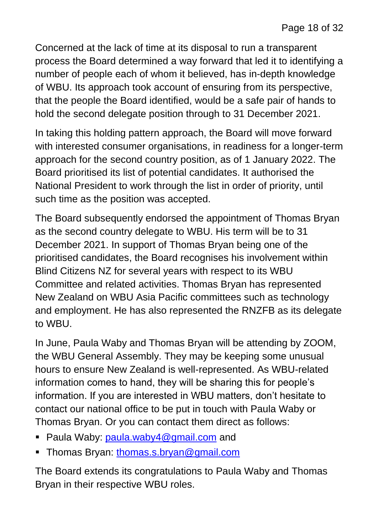Concerned at the lack of time at its disposal to run a transparent process the Board determined a way forward that led it to identifying a number of people each of whom it believed, has in-depth knowledge of WBU. Its approach took account of ensuring from its perspective, that the people the Board identified, would be a safe pair of hands to hold the second delegate position through to 31 December 2021.

In taking this holding pattern approach, the Board will move forward with interested consumer organisations, in readiness for a longer-term approach for the second country position, as of 1 January 2022. The Board prioritised its list of potential candidates. It authorised the National President to work through the list in order of priority, until such time as the position was accepted.

The Board subsequently endorsed the appointment of Thomas Bryan as the second country delegate to WBU. His term will be to 31 December 2021. In support of Thomas Bryan being one of the prioritised candidates, the Board recognises his involvement within Blind Citizens NZ for several years with respect to its WBU Committee and related activities. Thomas Bryan has represented New Zealand on WBU Asia Pacific committees such as technology and employment. He has also represented the RNZFB as its delegate to WBU.

In June, Paula Waby and Thomas Bryan will be attending by ZOOM, the WBU General Assembly. They may be keeping some unusual hours to ensure New Zealand is well-represented. As WBU-related information comes to hand, they will be sharing this for people's information. If you are interested in WBU matters, don't hesitate to contact our national office to be put in touch with Paula Waby or Thomas Bryan. Or you can contact them direct as follows:

- Paula Waby: [paula.waby4@gmail.com](mailto:paula.waby4@gmail.com) and
- Thomas Bryan: [thomas.s.bryan@gmail.com](mailto:thomas.s.bryan@gmail.com)

The Board extends its congratulations to Paula Waby and Thomas Bryan in their respective WBU roles.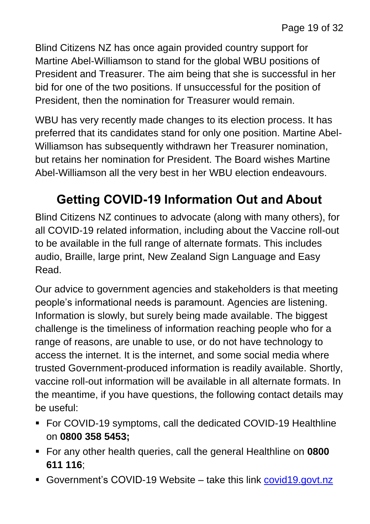Blind Citizens NZ has once again provided country support for Martine Abel-Williamson to stand for the global WBU positions of President and Treasurer. The aim being that she is successful in her bid for one of the two positions. If unsuccessful for the position of President, then the nomination for Treasurer would remain.

WBU has very recently made changes to its election process. It has preferred that its candidates stand for only one position. Martine Abel-Williamson has subsequently withdrawn her Treasurer nomination, but retains her nomination for President. The Board wishes Martine Abel-Williamson all the very best in her WBU election endeavours.

# **Getting COVID-19 Information Out and About**

Blind Citizens NZ continues to advocate (along with many others), for all COVID-19 related information, including about the Vaccine roll-out to be available in the full range of alternate formats. This includes audio, Braille, large print, New Zealand Sign Language and Easy Read.

Our advice to government agencies and stakeholders is that meeting people's informational needs is paramount. Agencies are listening. Information is slowly, but surely being made available. The biggest challenge is the timeliness of information reaching people who for a range of reasons, are unable to use, or do not have technology to access the internet. It is the internet, and some social media where trusted Government-produced information is readily available. Shortly, vaccine roll-out information will be available in all alternate formats. In the meantime, if you have questions, the following contact details may be useful:

- For COVID-19 symptoms, call the dedicated COVID-19 Healthline on **0800 358 5453;**
- For any other health queries, call the general Healthline on **0800 611 116**;
- Government's COVID-19 Website take this link [covid19.govt.nz](https://covid19.govt.nz/)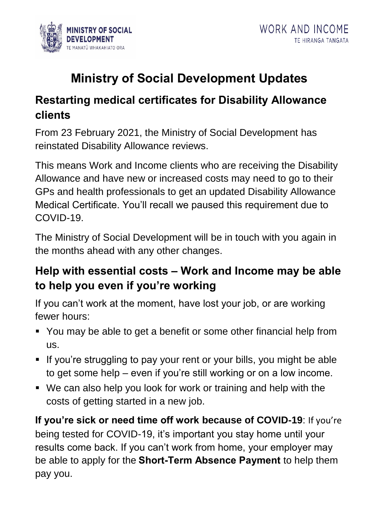

# **Ministry of Social Development Updates**

#### **Restarting medical certificates for Disability Allowance clients**

From 23 February 2021, the Ministry of Social Development has reinstated Disability Allowance reviews.

This means Work and Income clients who are receiving the Disability Allowance and have new or increased costs may need to go to their GPs and health professionals to get an updated Disability Allowance Medical Certificate. You'll recall we paused this requirement due to COVID-19.

The Ministry of Social Development will be in touch with you again in the months ahead with any other changes.

### **Help with essential costs – Work and Income may be able to help you even if you're working**

If you can't work at the moment, have lost your job, or are working fewer hours:

- You may be able to get a benefit or some other financial help from us.
- **.** If you're struggling to pay your rent or your bills, you might be able to get some help – even if you're still working or on a low income.
- We can also help you look for work or training and help with the costs of getting started in a new job.

**If you're sick or need time off work because of COVID-19**: If you're being tested for COVID-19, it's important you stay home until your results come back. If you can't work from home, your employer may be able to apply for the **Short-Term Absence Payment** to help them pay you.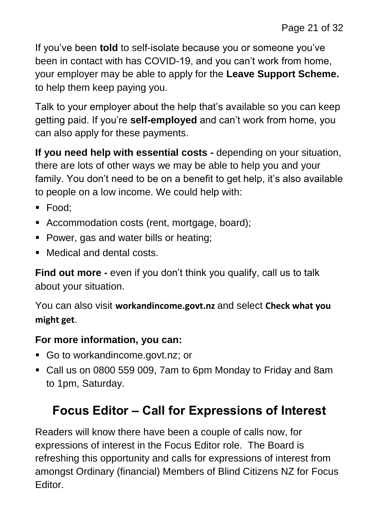If you've been **told** to self-isolate because you or someone you've been in contact with has COVID-19, and you can't work from home, your employer may be able to apply for the **Leave Support Scheme.** to help them keep paying you.

Talk to your employer about the help that's available so you can keep getting paid. If you're **self-employed** and can't work from home, you can also apply for these payments.

**If you need help with essential costs -** depending on your situation, there are lots of other ways we may be able to help you and your family. You don't need to be on a benefit to get help, it's also available to people on a low income. We could help with:

- Food:
- Accommodation costs (rent, mortgage, board);
- Power, gas and water bills or heating;
- Medical and dental costs.

**Find out more -** even if you don't think you qualify, call us to talk about your situation.

You can also visit **workandincome.govt.nz** and select **Check what you might get**.

#### **For more information, you can:**

- Go to workandincome.govt.nz; or
- Call us on 0800 559 009, 7am to 6pm Monday to Friday and 8am to 1pm, Saturday.

# **Focus Editor – Call for Expressions of Interest**

Readers will know there have been a couple of calls now, for expressions of interest in the Focus Editor role. The Board is refreshing this opportunity and calls for expressions of interest from amongst Ordinary (financial) Members of Blind Citizens NZ for Focus Editor.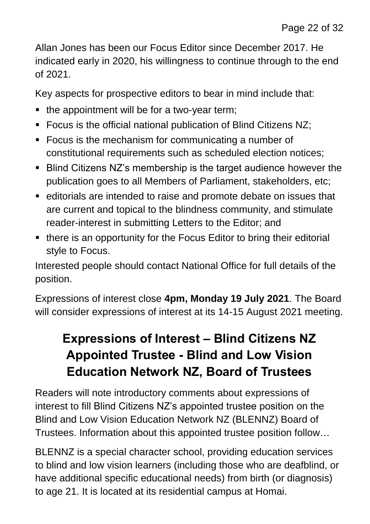Allan Jones has been our Focus Editor since December 2017. He indicated early in 2020, his willingness to continue through to the end of 2021.

Key aspects for prospective editors to bear in mind include that:

- $\blacksquare$  the appointment will be for a two-year term;
- Focus is the official national publication of Blind Citizens NZ;
- Focus is the mechanism for communicating a number of constitutional requirements such as scheduled election notices;
- Blind Citizens NZ's membership is the target audience however the publication goes to all Members of Parliament, stakeholders, etc;
- editorials are intended to raise and promote debate on issues that are current and topical to the blindness community, and stimulate reader-interest in submitting Letters to the Editor; and
- there is an opportunity for the Focus Editor to bring their editorial style to Focus.

Interested people should contact National Office for full details of the position.

Expressions of interest close **4pm, Monday 19 July 2021**. The Board will consider expressions of interest at its 14-15 August 2021 meeting.

# **Expressions of Interest - Blind Citizens NZ Appointed Trustee - Blind and Low Vision Education Network NZ, Board of Trustees**

Readers will note introductory comments about expressions of interest to fill Blind Citizens NZ's appointed trustee position on the Blind and Low Vision Education Network NZ (BLENNZ) Board of Trustees. Information about this appointed trustee position follow…

BLENNZ is a special character school, providing education services to blind and low vision learners (including those who are deafblind, or have additional specific educational needs) from birth (or diagnosis) to age 21. It is located at its residential campus at Homai.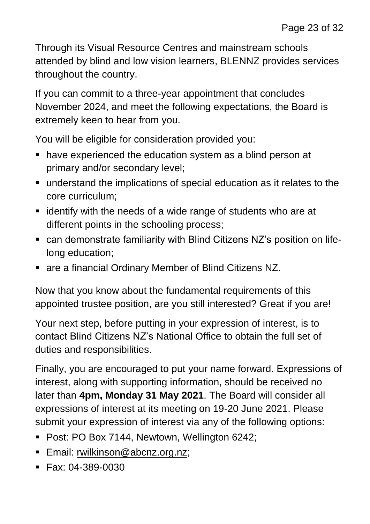Through its Visual Resource Centres and mainstream schools attended by blind and low vision learners, BLENNZ provides services throughout the country.

If you can commit to a three-year appointment that concludes November 2024, and meet the following expectations, the Board is extremely keen to hear from you.

You will be eligible for consideration provided you:

- have experienced the education system as a blind person at primary and/or secondary level;
- understand the implications of special education as it relates to the core curriculum;
- identify with the needs of a wide range of students who are at different points in the schooling process;
- can demonstrate familiarity with Blind Citizens NZ's position on lifelong education;
- are a financial Ordinary Member of Blind Citizens NZ.

Now that you know about the fundamental requirements of this appointed trustee position, are you still interested? Great if you are!

Your next step, before putting in your expression of interest, is to contact Blind Citizens NZ's National Office to obtain the full set of duties and responsibilities.

Finally, you are encouraged to put your name forward. Expressions of interest, along with supporting information, should be received no later than **4pm, Monday 31 May 2021**. The Board will consider all expressions of interest at its meeting on 19-20 June 2021. Please submit your expression of interest via any of the following options:

- Post: PO Box 7144, Newtown, Wellington 6242;
- **Email:** [rwilkinson@abcnz.org.nz;](mailto:rwilkinson@abcnz.org.nz)
- $\blacksquare$  Fax: 04-389-0030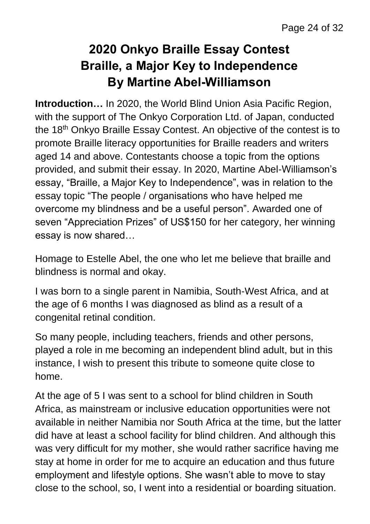# **2020 Onkyo Braille Essay Contest Braille, a Major Key to Independence By Martine Abel-Williamson**

**Introduction…** In 2020, the World Blind Union Asia Pacific Region, with the support of The Onkyo Corporation Ltd. of Japan, conducted the 18th Onkyo Braille Essay Contest. An objective of the contest is to promote Braille literacy opportunities for Braille readers and writers aged 14 and above. Contestants choose a topic from the options provided, and submit their essay. In 2020, Martine Abel-Williamson's essay, "Braille, a Major Key to Independence", was in relation to the essay topic "The people / organisations who have helped me overcome my blindness and be a useful person". Awarded one of seven "Appreciation Prizes" of US\$150 for her category, her winning essay is now shared…

Homage to Estelle Abel, the one who let me believe that braille and blindness is normal and okay.

I was born to a single parent in Namibia, South-West Africa, and at the age of 6 months I was diagnosed as blind as a result of a congenital retinal condition.

So many people, including teachers, friends and other persons, played a role in me becoming an independent blind adult, but in this instance, I wish to present this tribute to someone quite close to home.

At the age of 5 I was sent to a school for blind children in South Africa, as mainstream or inclusive education opportunities were not available in neither Namibia nor South Africa at the time, but the latter did have at least a school facility for blind children. And although this was very difficult for my mother, she would rather sacrifice having me stay at home in order for me to acquire an education and thus future employment and lifestyle options. She wasn't able to move to stay close to the school, so, I went into a residential or boarding situation.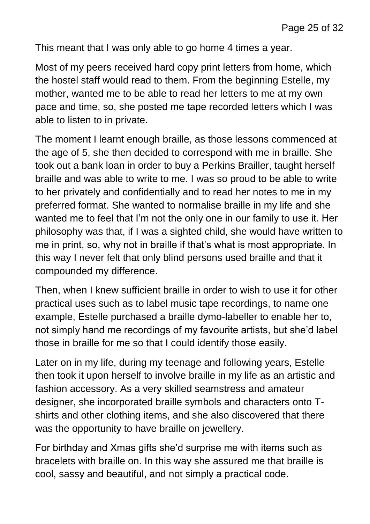This meant that I was only able to go home 4 times a year.

Most of my peers received hard copy print letters from home, which the hostel staff would read to them. From the beginning Estelle, my mother, wanted me to be able to read her letters to me at my own pace and time, so, she posted me tape recorded letters which I was able to listen to in private.

The moment I learnt enough braille, as those lessons commenced at the age of 5, she then decided to correspond with me in braille. She took out a bank loan in order to buy a Perkins Brailler, taught herself braille and was able to write to me. I was so proud to be able to write to her privately and confidentially and to read her notes to me in my preferred format. She wanted to normalise braille in my life and she wanted me to feel that I'm not the only one in our family to use it. Her philosophy was that, if I was a sighted child, she would have written to me in print, so, why not in braille if that's what is most appropriate. In this way I never felt that only blind persons used braille and that it compounded my difference.

Then, when I knew sufficient braille in order to wish to use it for other practical uses such as to label music tape recordings, to name one example, Estelle purchased a braille dymo-labeller to enable her to, not simply hand me recordings of my favourite artists, but she'd label those in braille for me so that I could identify those easily.

Later on in my life, during my teenage and following years, Estelle then took it upon herself to involve braille in my life as an artistic and fashion accessory. As a very skilled seamstress and amateur designer, she incorporated braille symbols and characters onto Tshirts and other clothing items, and she also discovered that there was the opportunity to have braille on jewellery.

For birthday and Xmas gifts she'd surprise me with items such as bracelets with braille on. In this way she assured me that braille is cool, sassy and beautiful, and not simply a practical code.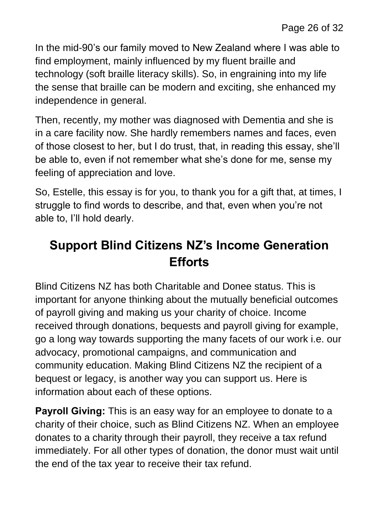In the mid-90's our family moved to New Zealand where I was able to find employment, mainly influenced by my fluent braille and technology (soft braille literacy skills). So, in engraining into my life the sense that braille can be modern and exciting, she enhanced my independence in general.

Then, recently, my mother was diagnosed with Dementia and she is in a care facility now. She hardly remembers names and faces, even of those closest to her, but I do trust, that, in reading this essay, she'll be able to, even if not remember what she's done for me, sense my feeling of appreciation and love.

So, Estelle, this essay is for you, to thank you for a gift that, at times, I struggle to find words to describe, and that, even when you're not able to, I'll hold dearly.

# **Support Blind Citizens NZ's Income Generation Efforts**

Blind Citizens NZ has both Charitable and Donee status. This is important for anyone thinking about the mutually beneficial outcomes of payroll giving and making us your charity of choice. Income received through donations, bequests and payroll giving for example, go a long way towards supporting the many facets of our work i.e. our advocacy, promotional campaigns, and communication and community education. Making Blind Citizens NZ the recipient of a bequest or legacy, is another way you can support us. Here is information about each of these options.

**Payroll Giving:** This is an easy way for an employee to donate to a charity of their choice, such as Blind Citizens NZ. When an employee donates to a charity through their payroll, they receive a tax refund immediately. For all other types of donation, the donor must wait until the end of the tax year to receive their tax refund.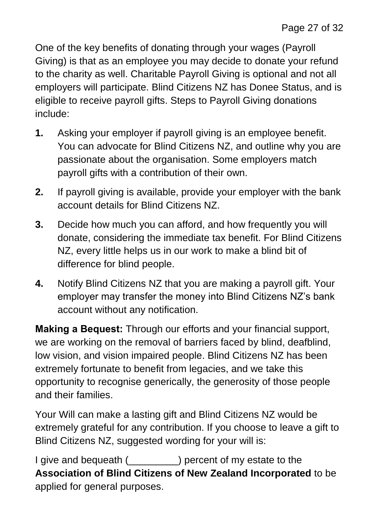One of the key benefits of donating through your wages (Payroll Giving) is that as an employee you may decide to donate your refund to the charity as well. Charitable Payroll Giving is optional and not all employers will participate. Blind Citizens NZ has Donee Status, and is eligible to receive payroll gifts. Steps to Payroll Giving donations include:

- **1.** Asking your employer if payroll giving is an employee benefit. You can advocate for Blind Citizens NZ, and outline why you are passionate about the organisation. Some employers match payroll gifts with a contribution of their own.
- **2.** If payroll giving is available, provide your employer with the bank account details for Blind Citizens NZ.
- **3.** Decide how much you can afford, and how frequently you will donate, considering the immediate tax benefit. For Blind Citizens NZ, every little helps us in our work to make a blind bit of difference for blind people.
- **4.** Notify Blind Citizens NZ that you are making a payroll gift. Your employer may transfer the money into Blind Citizens NZ's bank account without any notification.

**Making a Bequest:** Through our efforts and your financial support, we are working on the removal of barriers faced by blind, deafblind, low vision, and vision impaired people. Blind Citizens NZ has been extremely fortunate to benefit from legacies, and we take this opportunity to recognise generically, the generosity of those people and their families.

Your Will can make a lasting gift and Blind Citizens NZ would be extremely grateful for any contribution. If you choose to leave a gift to Blind Citizens NZ, suggested wording for your will is:

I give and bequeath (  $\qquad$  ) percent of my estate to the **Association of Blind Citizens of New Zealand Incorporated** to be applied for general purposes.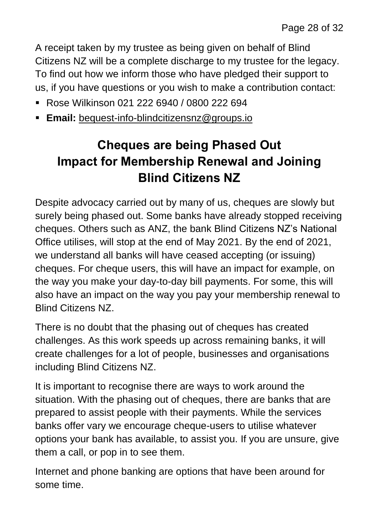A receipt taken by my trustee as being given on behalf of Blind Citizens NZ will be a complete discharge to my trustee for the legacy. To find out how we inform those who have pledged their support to us, if you have questions or you wish to make a contribution contact:

- Rose Wilkinson 021 222 6940 / 0800 222 694
- **Email:** [bequest-info-blindcitizensnz@groups.io](mailto:bequest-info-blindcitizensnz@groups.io)

# **Cheques are being Phased Out Impact for Membership Renewal and Joining Blind Citizens NZ**

Despite advocacy carried out by many of us, cheques are slowly but surely being phased out. Some banks have already stopped receiving cheques. Others such as ANZ, the bank Blind Citizens NZ's National Office utilises, will stop at the end of May 2021. By the end of 2021, we understand all banks will have ceased accepting (or issuing) cheques. For cheque users, this will have an impact for example, on the way you make your day-to-day bill payments. For some, this will also have an impact on the way you pay your membership renewal to Blind Citizens NZ.

There is no doubt that the phasing out of cheques has created challenges. As this work speeds up across remaining banks, it will create challenges for a lot of people, businesses and organisations including Blind Citizens NZ.

It is important to recognise there are ways to work around the situation. With the phasing out of cheques, there are banks that are prepared to assist people with their payments. While the services banks offer vary we encourage cheque-users to utilise whatever options your bank has available, to assist you. If you are unsure, give them a call, or pop in to see them.

Internet and phone banking are options that have been around for some time.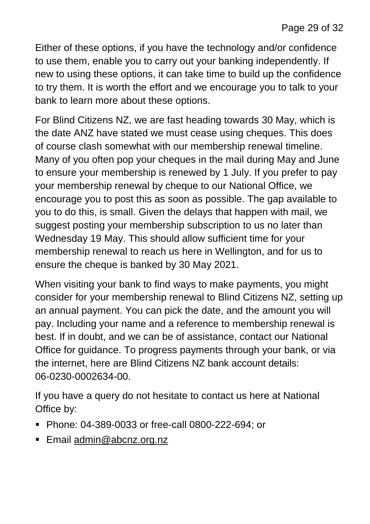Either of these options, if you have the technology and/or confidence to use them, enable you to carry out your banking independently. If new to using these options, it can take time to build up the confidence to try them. It is worth the effort and we encourage you to talk to your bank to learn more about these options.

For Blind Citizens NZ, we are fast heading towards 30 May, which is the date ANZ have stated we must cease using cheques. This does of course clash somewhat with our membership renewal timeline. Many of you often pop your cheques in the mail during May and June to ensure your membership is renewed by 1 July. If you prefer to pay your membership renewal by cheque to our National Office, we encourage you to post this as soon as possible. The gap available to you to do this, is small. Given the delays that happen with mail, we suggest posting your membership subscription to us no later than Wednesday 19 May. This should allow sufficient time for your membership renewal to reach us here in Wellington, and for us to ensure the cheque is banked by 30 May 2021.

When visiting your bank to find ways to make payments, you might consider for your membership renewal to Blind Citizens NZ, setting up an annual payment. You can pick the date, and the amount you will pay. Including your name and a reference to membership renewal is best. If in doubt, and we can be of assistance, contact our National Office for guidance. To progress payments through your bank, or via the internet, here are Blind Citizens NZ bank account details: 06-0230-0002634-00.

If you have a query do not hesitate to contact us here at National Office by:

- Phone: 04-389-0033 or free-call 0800-222-694: or
- Email [admin@abcnz.org.nz](mailto:admin@abcnz.org.nz)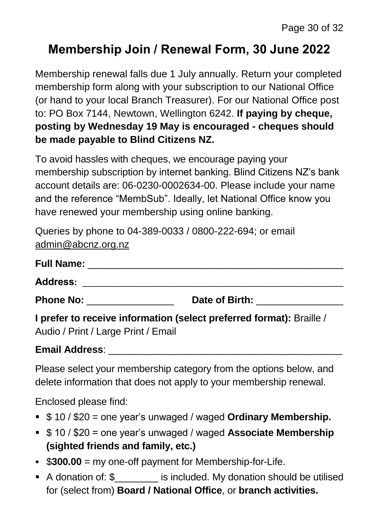## **Membership Join / Renewal Form, 30 June 2022**

Membership renewal falls due 1 July annually. Return your completed membership form along with your subscription to our National Office (or hand to your local Branch Treasurer). For our National Office post to: PO Box 7144, Newtown, Wellington 6242. **If paying by cheque, posting by Wednesday 19 May is encouraged - cheques should be made payable to Blind Citizens NZ.**

To avoid hassles with cheques, we encourage paying your membership subscription by internet banking. Blind Citizens NZ's bank account details are: 06-0230-0002634-00. Please include your name and the reference "MembSub". Ideally, let National Office know you have renewed your membership using online banking.

Queries by phone to 04-389-0033 / 0800-222-694; or email [admin@abcnz.org.nz](mailto:admin@abcnz.org.nz)

| Full Name: __<br>Address: _____                                      |  |  |  |  |                                |
|----------------------------------------------------------------------|--|--|--|--|--------------------------------|
|                                                                      |  |  |  |  | Phone No: <u>New York Note</u> |
| I prefer to receive information (select preferred format): Braille / |  |  |  |  |                                |
| Audio / Print / Large Print / Email                                  |  |  |  |  |                                |

#### **Email Address**: \_\_\_\_\_\_\_\_\_\_\_\_\_\_\_\_\_\_\_\_\_\_\_\_\_\_\_\_\_\_\_\_\_\_\_\_\_\_\_\_\_\_\_

Please select your membership category from the options below, and delete information that does not apply to your membership renewal.

Enclosed please find:

- \$ 10 / \$20 = one year's unwaged / waged **Ordinary Membership.**
- \$ 10 / \$20 = one year's unwaged / waged **Associate Membership (sighted friends and family, etc.)**
- \$**300.00** = my one-off payment for Membership-for-Life.
- A donation of: \$\_\_\_\_\_\_\_\_ is included. My donation should be utilised for (select from) **Board / National Office**, or **branch activities.**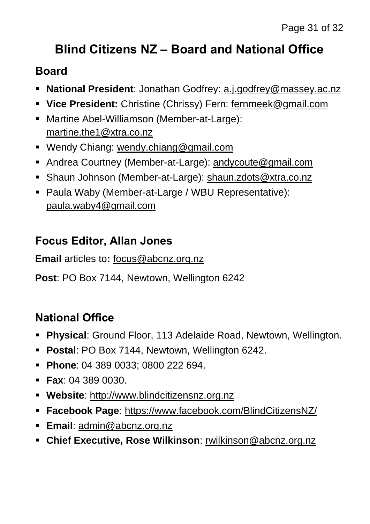# **Blind Citizens NZ – Board and National Office**

#### **Board**

- **National President**: Jonathan Godfrey: [a.j.godfrey@massey.ac.nz](mailto:a.j.godfrey@massey.ac.nz)
- **Vice President:** Christine (Chrissy) Fern: [fernmeek@gmail.com](mailto:fernmeek@gmail.com)
- Martine Abel-Williamson (Member-at-Large): [martine.the1@xtra.co.nz](mailto:martine.the1@xtra.co.nz)
- Wendy Chiang: [wendy.chiang@gmail.com](mailto:wendy.chiang@gmail.com)
- Andrea Courtney (Member-at-Large): [andycoute@gmail.com](mailto:andycoute@gmail.com)
- Shaun Johnson (Member-at-Large): [shaun.zdots@xtra.co.nz](mailto:shaun.zdots@xtra.co.nz%20co.nz)
- Paula Waby (Member-at-Large / WBU Representative): [paula.waby4@gmail.com](mailto:paula.waby4@gmail.com)

### **Focus Editor, Allan Jones**

**Email** articles to**:** [focus@abcnz.org.nz](mailto:focus@abcnz.org.nz)

**Post**: PO Box 7144, Newtown, Wellington 6242

## **National Office**

- **Physical**: Ground Floor, 113 Adelaide Road, Newtown, Wellington.
- **Postal**: PO Box 7144, Newtown, Wellington 6242.
- **Phone**: 04 389 0033; 0800 222 694.
- **Fax**: 04 389 0030.
- **Website**: [http://www.blindcitizensnz.org.nz](http://www.blindcitizensnz.org.nz/)
- **Facebook Page**:<https://www.facebook.com/BlindCitizensNZ/>
- **Email**: [admin@abcnz.org.nz](mailto:admin@abcnz.org.nz)
- **Chief Executive, Rose Wilkinson**: [rwilkinson@abcnz.org.nz](mailto:rwilkinson@abcnz.org.nz)